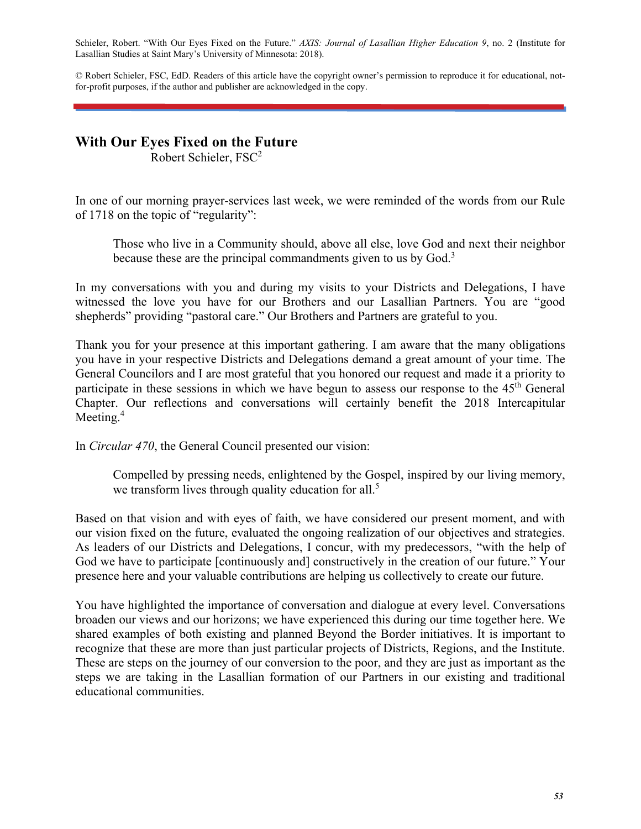Schieler, Robert. "With Our Eyes Fixed on the Future." *AXIS: Journal of Lasallian Higher Education 9*, no. 2 (Institute for Lasallian Studies at Saint Mary's University of Minnesota: 2018).

© Robert Schieler, FSC, EdD. Readers of this article have the copyright owner's permission to reproduce it for educational, notfor-profit purposes, if the author and publisher are acknowledged in the copy.

## **With Our Eyes Fixed on the Future**

Robert Schieler, FSC2

In one of our morning prayer-services last week, we were reminded of the words from our Rule of 1718 on the topic of "regularity":

Those who live in a Community should, above all else, love God and next their neighbor because these are the principal commandments given to us by  $God.^3$ 

In my conversations with you and during my visits to your Districts and Delegations, I have witnessed the love you have for our Brothers and our Lasallian Partners. You are "good shepherds" providing "pastoral care." Our Brothers and Partners are grateful to you.

Thank you for your presence at this important gathering. I am aware that the many obligations you have in your respective Districts and Delegations demand a great amount of your time. The General Councilors and I are most grateful that you honored our request and made it a priority to participate in these sessions in which we have begun to assess our response to the  $45<sup>th</sup>$  General Chapter. Our reflections and conversations will certainly benefit the 2018 Intercapitular Meeting.<sup>4</sup>

In *Circular 470*, the General Council presented our vision:

Compelled by pressing needs, enlightened by the Gospel, inspired by our living memory, we transform lives through quality education for all.<sup>5</sup>

Based on that vision and with eyes of faith, we have considered our present moment, and with our vision fixed on the future, evaluated the ongoing realization of our objectives and strategies. As leaders of our Districts and Delegations, I concur, with my predecessors, "with the help of God we have to participate [continuously and] constructively in the creation of our future." Your presence here and your valuable contributions are helping us collectively to create our future.

You have highlighted the importance of conversation and dialogue at every level. Conversations broaden our views and our horizons; we have experienced this during our time together here. We shared examples of both existing and planned Beyond the Border initiatives. It is important to recognize that these are more than just particular projects of Districts, Regions, and the Institute. These are steps on the journey of our conversion to the poor, and they are just as important as the steps we are taking in the Lasallian formation of our Partners in our existing and traditional educational communities.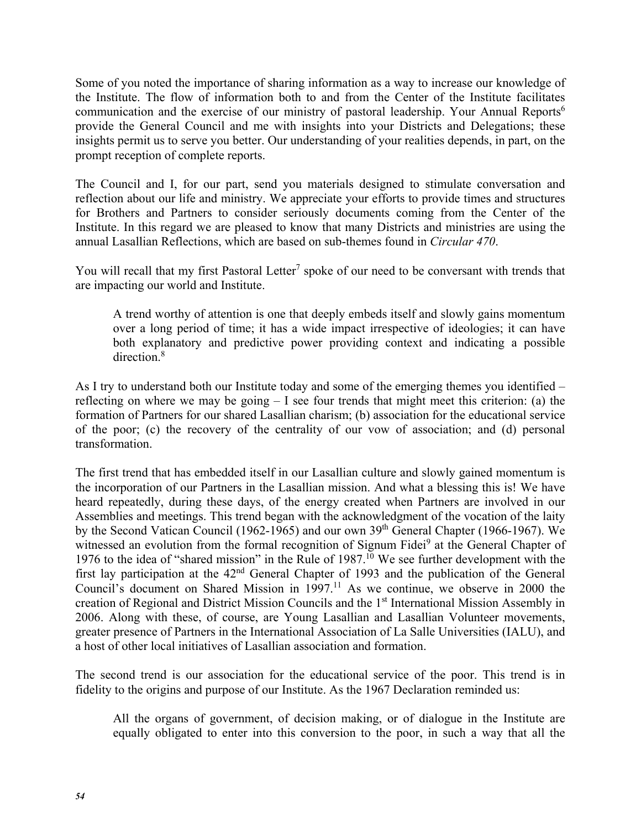Some of you noted the importance of sharing information as a way to increase our knowledge of the Institute. The flow of information both to and from the Center of the Institute facilitates communication and the exercise of our ministry of pastoral leadership. Your Annual Reports<sup>6</sup> provide the General Council and me with insights into your Districts and Delegations; these insights permit us to serve you better. Our understanding of your realities depends, in part, on the prompt reception of complete reports.

The Council and I, for our part, send you materials designed to stimulate conversation and reflection about our life and ministry. We appreciate your efforts to provide times and structures for Brothers and Partners to consider seriously documents coming from the Center of the Institute. In this regard we are pleased to know that many Districts and ministries are using the annual Lasallian Reflections, which are based on sub-themes found in *Circular 470*.

You will recall that my first Pastoral Letter<sup>7</sup> spoke of our need to be conversant with trends that are impacting our world and Institute.

A trend worthy of attention is one that deeply embeds itself and slowly gains momentum over a long period of time; it has a wide impact irrespective of ideologies; it can have both explanatory and predictive power providing context and indicating a possible direction.<sup>8</sup>

As I try to understand both our Institute today and some of the emerging themes you identified – reflecting on where we may be going – I see four trends that might meet this criterion: (a) the formation of Partners for our shared Lasallian charism; (b) association for the educational service of the poor; (c) the recovery of the centrality of our vow of association; and (d) personal transformation.

The first trend that has embedded itself in our Lasallian culture and slowly gained momentum is the incorporation of our Partners in the Lasallian mission. And what a blessing this is! We have heard repeatedly, during these days, of the energy created when Partners are involved in our Assemblies and meetings. This trend began with the acknowledgment of the vocation of the laity by the Second Vatican Council (1962-1965) and our own 39<sup>th</sup> General Chapter (1966-1967). We witnessed an evolution from the formal recognition of Signum Fidei<sup>9</sup> at the General Chapter of 1976 to the idea of "shared mission" in the Rule of  $1987$ .<sup>10</sup> We see further development with the first lay participation at the 42nd General Chapter of 1993 and the publication of the General Council's document on Shared Mission in 1997.<sup>11</sup> As we continue, we observe in 2000 the creation of Regional and District Mission Councils and the 1st International Mission Assembly in 2006. Along with these, of course, are Young Lasallian and Lasallian Volunteer movements, greater presence of Partners in the International Association of La Salle Universities (IALU), and a host of other local initiatives of Lasallian association and formation.

The second trend is our association for the educational service of the poor. This trend is in fidelity to the origins and purpose of our Institute. As the 1967 Declaration reminded us:

All the organs of government, of decision making, or of dialogue in the Institute are equally obligated to enter into this conversion to the poor, in such a way that all the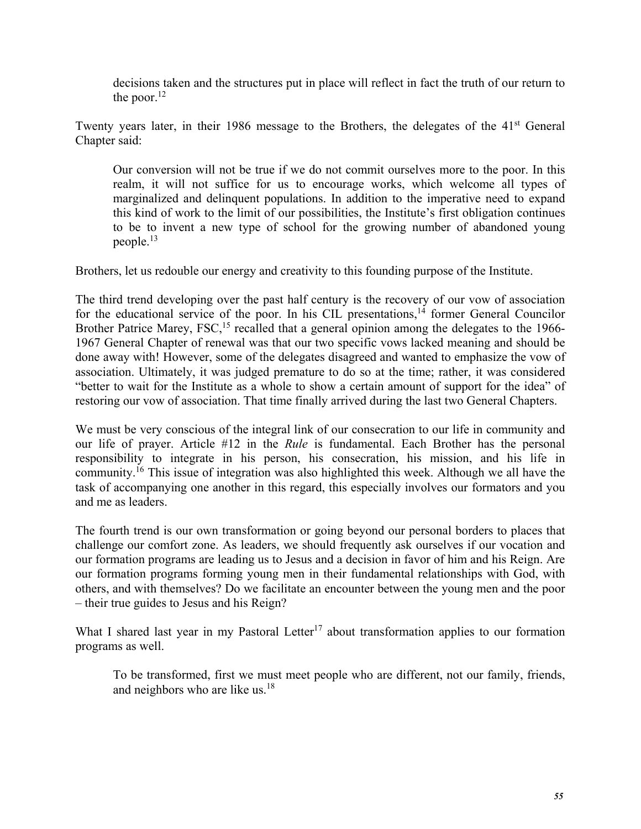decisions taken and the structures put in place will reflect in fact the truth of our return to the poor. $^{12}$ 

Twenty years later, in their 1986 message to the Brothers, the delegates of the 41<sup>st</sup> General Chapter said:

Our conversion will not be true if we do not commit ourselves more to the poor. In this realm, it will not suffice for us to encourage works, which welcome all types of marginalized and delinquent populations. In addition to the imperative need to expand this kind of work to the limit of our possibilities, the Institute's first obligation continues to be to invent a new type of school for the growing number of abandoned young people.13

Brothers, let us redouble our energy and creativity to this founding purpose of the Institute.

The third trend developing over the past half century is the recovery of our vow of association for the educational service of the poor. In his CIL presentations, $14$  former General Councilor Brother Patrice Marey,  $FSC<sub>15</sub>$  recalled that a general opinion among the delegates to the 1966-1967 General Chapter of renewal was that our two specific vows lacked meaning and should be done away with! However, some of the delegates disagreed and wanted to emphasize the vow of association. Ultimately, it was judged premature to do so at the time; rather, it was considered "better to wait for the Institute as a whole to show a certain amount of support for the idea" of restoring our vow of association. That time finally arrived during the last two General Chapters.

We must be very conscious of the integral link of our consecration to our life in community and our life of prayer. Article #12 in the *Rule* is fundamental. Each Brother has the personal responsibility to integrate in his person, his consecration, his mission, and his life in community.16 This issue of integration was also highlighted this week. Although we all have the task of accompanying one another in this regard, this especially involves our formators and you and me as leaders.

The fourth trend is our own transformation or going beyond our personal borders to places that challenge our comfort zone. As leaders, we should frequently ask ourselves if our vocation and our formation programs are leading us to Jesus and a decision in favor of him and his Reign. Are our formation programs forming young men in their fundamental relationships with God, with others, and with themselves? Do we facilitate an encounter between the young men and the poor – their true guides to Jesus and his Reign?

What I shared last year in my Pastoral Letter<sup>17</sup> about transformation applies to our formation programs as well.

To be transformed, first we must meet people who are different, not our family, friends, and neighbors who are like us.<sup>18</sup>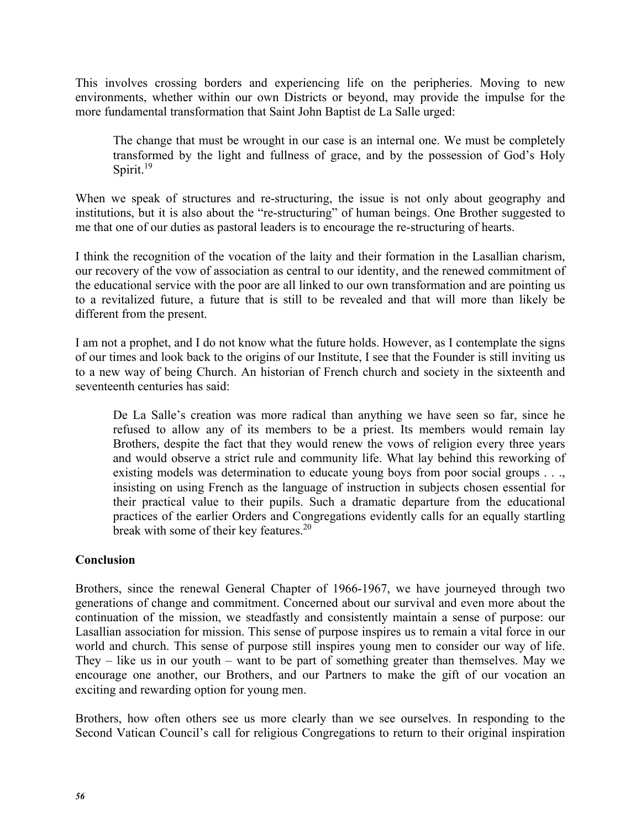This involves crossing borders and experiencing life on the peripheries. Moving to new environments, whether within our own Districts or beyond, may provide the impulse for the more fundamental transformation that Saint John Baptist de La Salle urged:

The change that must be wrought in our case is an internal one. We must be completely transformed by the light and fullness of grace, and by the possession of God's Holy Spirit. $19$ 

When we speak of structures and re-structuring, the issue is not only about geography and institutions, but it is also about the "re-structuring" of human beings. One Brother suggested to me that one of our duties as pastoral leaders is to encourage the re-structuring of hearts.

I think the recognition of the vocation of the laity and their formation in the Lasallian charism, our recovery of the vow of association as central to our identity, and the renewed commitment of the educational service with the poor are all linked to our own transformation and are pointing us to a revitalized future, a future that is still to be revealed and that will more than likely be different from the present.

I am not a prophet, and I do not know what the future holds. However, as I contemplate the signs of our times and look back to the origins of our Institute, I see that the Founder is still inviting us to a new way of being Church. An historian of French church and society in the sixteenth and seventeenth centuries has said:

De La Salle's creation was more radical than anything we have seen so far, since he refused to allow any of its members to be a priest. Its members would remain lay Brothers, despite the fact that they would renew the vows of religion every three years and would observe a strict rule and community life. What lay behind this reworking of existing models was determination to educate young boys from poor social groups . . ., insisting on using French as the language of instruction in subjects chosen essential for their practical value to their pupils. Such a dramatic departure from the educational practices of the earlier Orders and Congregations evidently calls for an equally startling break with some of their key features.<sup>20</sup>

## **Conclusion**

Brothers, since the renewal General Chapter of 1966-1967, we have journeyed through two generations of change and commitment. Concerned about our survival and even more about the continuation of the mission, we steadfastly and consistently maintain a sense of purpose: our Lasallian association for mission. This sense of purpose inspires us to remain a vital force in our world and church. This sense of purpose still inspires young men to consider our way of life. They – like us in our youth – want to be part of something greater than themselves. May we encourage one another, our Brothers, and our Partners to make the gift of our vocation an exciting and rewarding option for young men.

Brothers, how often others see us more clearly than we see ourselves. In responding to the Second Vatican Council's call for religious Congregations to return to their original inspiration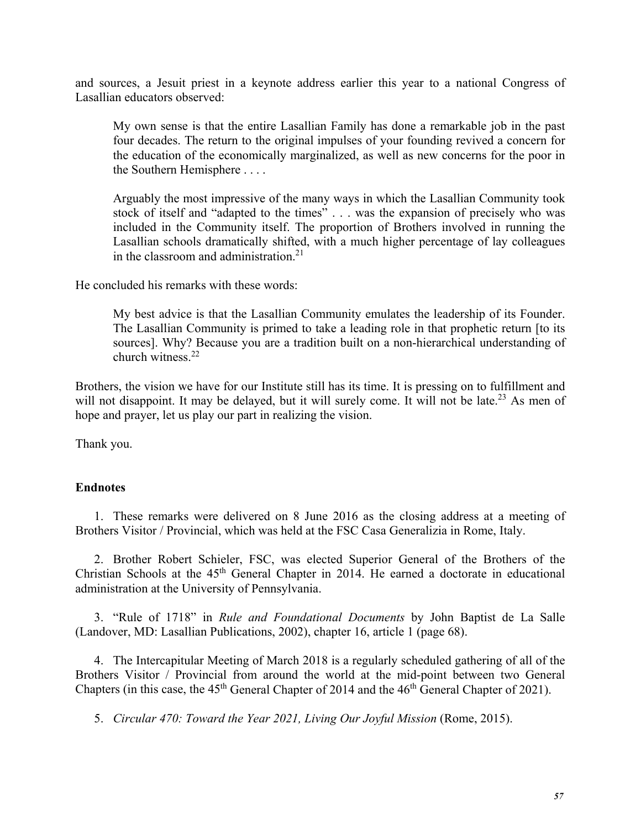and sources, a Jesuit priest in a keynote address earlier this year to a national Congress of Lasallian educators observed:

My own sense is that the entire Lasallian Family has done a remarkable job in the past four decades. The return to the original impulses of your founding revived a concern for the education of the economically marginalized, as well as new concerns for the poor in the Southern Hemisphere . . . .

Arguably the most impressive of the many ways in which the Lasallian Community took stock of itself and "adapted to the times" . . . was the expansion of precisely who was included in the Community itself. The proportion of Brothers involved in running the Lasallian schools dramatically shifted, with a much higher percentage of lay colleagues in the classroom and administration.<sup>21</sup>

He concluded his remarks with these words:

My best advice is that the Lasallian Community emulates the leadership of its Founder. The Lasallian Community is primed to take a leading role in that prophetic return [to its sources]. Why? Because you are a tradition built on a non-hierarchical understanding of church witness.<sup>22</sup>

Brothers, the vision we have for our Institute still has its time. It is pressing on to fulfillment and will not disappoint. It may be delayed, but it will surely come. It will not be late.<sup>23</sup> As men of hope and prayer, let us play our part in realizing the vision.

Thank you.

## **Endnotes**

1. These remarks were delivered on 8 June 2016 as the closing address at a meeting of Brothers Visitor / Provincial, which was held at the FSC Casa Generalizia in Rome, Italy.

2. Brother Robert Schieler, FSC, was elected Superior General of the Brothers of the Christian Schools at the 45<sup>th</sup> General Chapter in 2014. He earned a doctorate in educational administration at the University of Pennsylvania.

3. "Rule of 1718" in *Rule and Foundational Documents* by John Baptist de La Salle (Landover, MD: Lasallian Publications, 2002), chapter 16, article 1 (page 68).

4. The Intercapitular Meeting of March 2018 is a regularly scheduled gathering of all of the Brothers Visitor / Provincial from around the world at the mid-point between two General Chapters (in this case, the  $45<sup>th</sup>$  General Chapter of 2014 and the  $46<sup>th</sup>$  General Chapter of 2021).

5. *Circular 470: Toward the Year 2021, Living Our Joyful Mission* (Rome, 2015).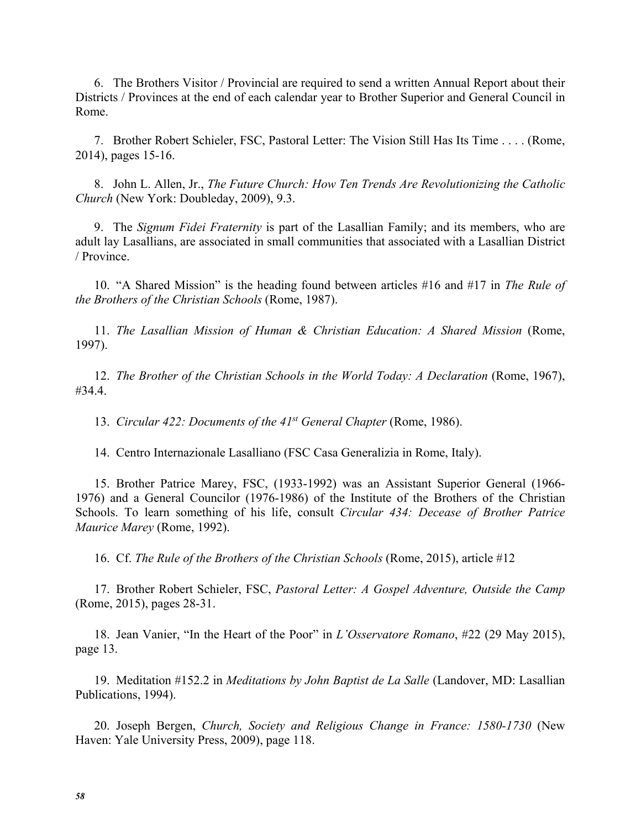6. The Brothers Visitor / Provincial are required to send a written Annual Report about their Districts / Provinces at the end of each calendar year to Brother Superior and General Council in Rome.

7. Brother Robert Schieler, FSC, Pastoral Letter: The Vision Still Has Its Time . . . . (Rome, 2014), pages 15-16.

8. John L. Allen, Jr., *The Future Church: How Ten Trends Are Revolutionizing the Catholic Church* (New York: Doubleday, 2009), 9.3.

9. The *Signum Fidei Fraternity* is part of the Lasallian Family; and its members, who are adult lay Lasallians, are associated in small communities that associated with a Lasallian District / Province.

10. "A Shared Mission" is the heading found between articles #16 and #17 in *The Rule of the Brothers of the Christian Schools* (Rome, 1987).

11. *The Lasallian Mission of Human & Christian Education: A Shared Mission* (Rome, 1997).

12. *The Brother of the Christian Schools in the World Today: A Declaration* (Rome, 1967), #34.4.

13. *Circular 422: Documents of the 41st General Chapter* (Rome, 1986).

14. Centro Internazionale Lasalliano (FSC Casa Generalizia in Rome, Italy).

15. Brother Patrice Marey, FSC, (1933-1992) was an Assistant Superior General (1966- 1976) and a General Councilor (1976-1986) of the Institute of the Brothers of the Christian Schools. To learn something of his life, consult *Circular 434: Decease of Brother Patrice Maurice Marey* (Rome, 1992).

16. Cf. *The Rule of the Brothers of the Christian Schools* (Rome, 2015), article #12

17. Brother Robert Schieler, FSC, *Pastoral Letter: A Gospel Adventure, Outside the Camp* (Rome, 2015), pages 28-31.

18. Jean Vanier, "In the Heart of the Poor" in *L'Osservatore Romano*, #22 (29 May 2015), page 13.

19. Meditation #152.2 in *Meditations by John Baptist de La Salle* (Landover, MD: Lasallian Publications, 1994).

20. Joseph Bergen, *Church, Society and Religious Change in France: 1580-1730* (New Haven: Yale University Press, 2009), page 118.